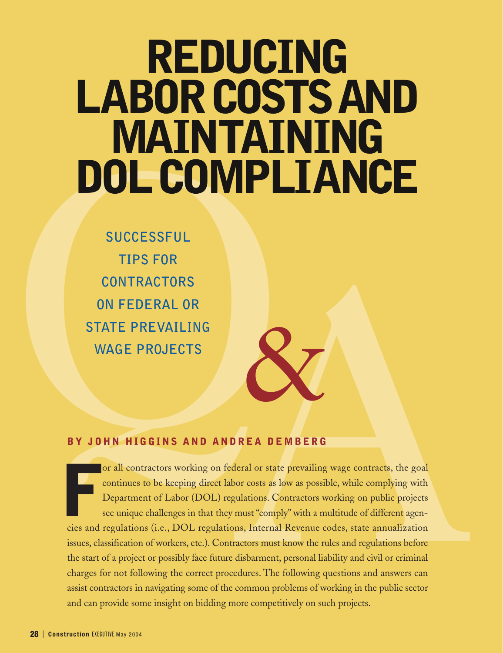# **REDUCING LABORCOSTSAND MAINTAINING DOLCOMPLIANCE**

**DOL CONPIE**<br>
TIPS FOR<br>
CONTRACTORS<br>
ON FEDERAL OR<br>
STATE PREVAILING<br>
WAGE PROJECTS<br>
BY JOHN HIGGINS AND ANDREA DE<br>
or all contractors working on federal or state<br>
Or all contractors working on federal or state<br>
Department **SUCCESSFUL TIPS FOR CONTRACTORS ON FEDERAL OR STATE PREVAILING WAGE PROJECTS**

### **BY JOHN HIGGINS AND ANDREA DEMBERG**

F cies and regulations (i.e., DOL regulations, Internal Revenue codes, state annualization issues, classification of workers, etc.). Contractors must know the rules and regulations before the start of a project or possibly face future disbarment, personal liability and civil or criminal charges for not following the correct procedures. The following questions and answers can assist contractors in navigating some of the common problems of working in the public sector and can provide some insight on bidding more competitively on such projects. or all contractors working on federal or state prevailing wage contracts, the goal continues to be keeping direct labor costs as low as possible, while complying with Department of Labor (DOL) regulations. Contractors working on public projects CONTRACTORS<br>
SEE PREVAILING<br>
AGE PROJECTS<br>
HN HIGGINS AND ANDREA DEMBERG<br>
THE CONTECTS<br>
THE CONTECTS<br>
OF THE CONTECTS<br>
OF THE CONTECTS WITHOUT A CONTECT AND AND THE CONTECTS (THE CONTECTS) With a multitude of different age

&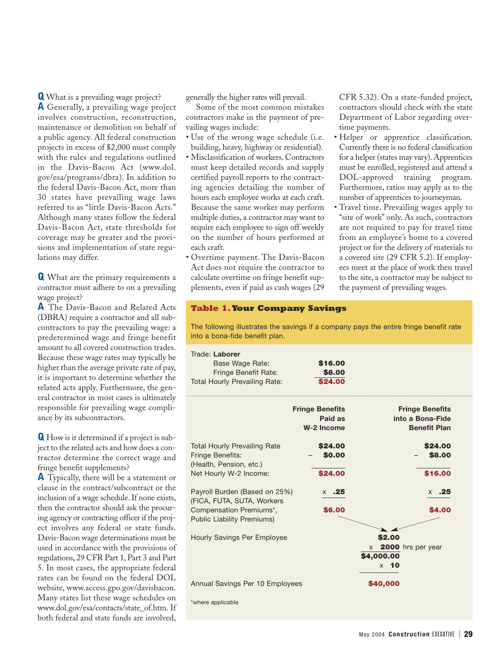**Q** What is a prevailing wage project? **A** Generally, a prevailing wage project involves construction, reconstruction, maintenance or demolition on behalf of a public agency. All federal construction projects in excess of \$2,000 must comply with the rules and regulations outlined in the Davis-Bacon Act (www.dol. gov/esa/programs/dbra). In addition to the federal Davis-Bacon Act, more than 30 states have prevailing wage laws referred to as "little Davis-Bacon Acts." Although many states follow the federal Davis-Bacon Act, state thresholds for coverage may be greater and the provisions and implementation of state regulations may differ.

**Q** What are the primary requirements a contractor must adhere to on a prevailing wage project?

**A** The Davis-Bacon and Related Acts (DBRA) require a contractor and all subcontractors to pay the prevailing wage: a predetermined wage and fringe benefit amount to all covered construction trades. Because these wage rates may typically be higher than the average private rate of pay, it is important to determine whether the related acts apply. Furthermore, the general contractor in most cases is ultimately responsible for prevailing wage compliance by its subcontractors.

**Q** How is it determined if a project is subject to the related acts and how does a contractor determine the correct wage and fringe benefit supplements?

**A** Typically, there will be a statement or clause in the contract/subcontract or the inclusion of a wage schedule. If none exists, then the contractor should ask the procuring agency or contracting officer if the project involves any federal or state funds. Davis-Bacon wage determinations must be used in accordance with the provisions of regulations, 29 CFR Part 1, Part 3 and Part 5. In most cases, the appropriate federal rates can be found on the federal DOL website, www.access.gpo.gov/davisbacon. Many states list these wage schedules on www.dol.gov/esa/contacts/state\_of.htm. If both federal and state funds are involved, generally the higher rates will prevail.

Some of the most common mistakes contractors make in the payment of prevailing wages include:

- Use of the wrong wage schedule (i.e. building, heavy, highway or residential).
- Misclassification of workers. Contractors must keep detailed records and supply certified payroll reports to the contracting agencies detailing the number of hours each employee works at each craft. Because the same worker may perform multiple duties, a contractor may want to require each employee to sign off weekly on the number of hours performed at each craft.
- Overtime payment. The Davis-Bacon Act does not require the contractor to calculate overtime on fringe benefit supplements, even if paid as cash wages (29

CFR 5.32). On a state-funded project, contractors should check with the state Department of Labor regarding overtime payments.

- Helper or apprentice classification. Currently there is no federal classification for a helper (states may vary). Apprentices must be enrolled, registered and attend a DOL-approved training program. Furthermore, ratios may apply as to the number of apprentices to journeyman.
- Travel time. Prevailing wages apply to "site of work" only. As such, contractors are not required to pay for travel time from an employee's home to a covered project or for the delivery of materials to a covered site (29 CFR 5.2). If employees meet at the place of work then travel to the site, a contractor may be subject to the payment of prevailing wages.

#### **Table 1.Your Company Savings**

The following illustrates the savings if a company pays the entire fringe benefit rate into a bona-fide benefit plan.

| Trade: Laborer<br>Base Wage Rate:<br>Fringe Benefit Rate:<br><b>Total Hourly Prevailing Rate:</b>            | \$16,00<br>\$8.00<br>\$24.00                    |                                                                   |  |
|--------------------------------------------------------------------------------------------------------------|-------------------------------------------------|-------------------------------------------------------------------|--|
|                                                                                                              | <b>Fringe Benefits</b><br>Paid as<br>W-2 Income | <b>Fringe Benefits</b><br>into a Bona-Fide<br><b>Benefit Plan</b> |  |
| <b>Total Hourly Prevailing Rate</b><br>Fringe Benefits:<br>(Health, Pension, etc.)<br>Net Hourly W-2 Income: | \$24,00<br>\$0.00<br>\$24.00                    | \$24.00<br>\$8.00<br>\$16.00                                      |  |
| Payroll Burden (Based on 25%)<br>(FICA, FUTA, SUTA, Workers<br>Compensation Premiums*,                       | $\times$ .25<br>\$6.00                          | $\times$ .25<br>\$4.00                                            |  |
| <b>Public Liability Premiums)</b><br>Hourly Savings Per Employee                                             |                                                 | \$2.00<br><b>2000</b> hrs per year<br>X<br>\$4,000.00             |  |
| Annual Savings Per 10 Employees<br>*where applicable                                                         |                                                 | $\times$ 10<br>\$40,000                                           |  |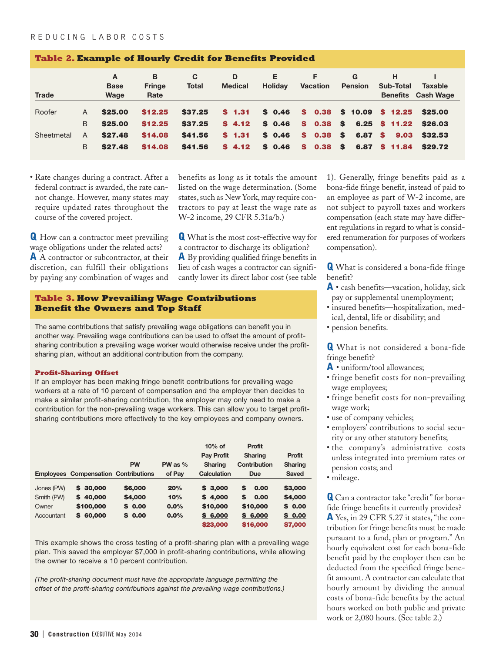#### REDUCING LABOR COSTS

| <b>Table 2. Example of Hourly Credit for Benefits Provided</b> |              |                          |                            |                   |                     |                     |                 |                     |                           |                                             |
|----------------------------------------------------------------|--------------|--------------------------|----------------------------|-------------------|---------------------|---------------------|-----------------|---------------------|---------------------------|---------------------------------------------|
| <b>Trade</b>                                                   |              | A<br><b>Base</b><br>Wage | B<br><b>Fringe</b><br>Rate | C<br><b>Total</b> | D<br><b>Medical</b> | Е<br><b>Holidav</b> | <b>Vacation</b> | G<br><b>Pension</b> | Sub-Total                 | <b>Taxable</b><br><b>Benefits</b> Cash Wage |
| Roofer                                                         | A            | \$25.00                  | \$12.25                    | \$37.25           | \$1.31              | \$0.46              |                 |                     | $$0.38$ \$ 10.09 \$ 12.25 | \$25.00                                     |
|                                                                | B            | \$25.00                  | \$12.25                    | \$37.25           | \$4.12              | \$0.46              |                 |                     | $$0.38$ \$ 6.25 \$ 11.22  | \$26.03                                     |
| Sheetmetal                                                     | $\mathsf{A}$ | \$27.48                  | \$14.08                    | \$41.56           | \$1.31              | \$0.46              | $$0.38$ $$$     | 6.87 \$             | 9,03                      | \$32.53                                     |
|                                                                | B            | \$27.48                  | \$14.08                    | \$41.56           | \$4.12              | \$0.46              |                 |                     | $$0.38$ \$ 6.87 \$ 11.84  | \$29.72                                     |

#### • Rate changes during a contract. After a federal contract is awarded, the rate cannot change. However, many states may require updated rates throughout the course of the covered project.

**Q** How can a contractor meet prevailing wage obligations under the related acts? **A** A contractor or subcontractor, at their discretion, can fulfill their obligations by paying any combination of wages and benefits as long as it totals the amount listed on the wage determination. (Some states, such as New York, may require contractors to pay at least the wage rate as W-2 income, 29 CFR 5.31a/b.)

**Q** What is the most cost-effective way for a contractor to discharge its obligation? **A** By providing qualified fringe benefits in lieu of cash wages a contractor can significantly lower its direct labor cost (see table

#### **Table 3. How Prevailing Wage Contributions Benefit the Owners and Top Staff**

The same contributions that satisfy prevailing wage obligations can benefit you in another way. Prevailing wage contributions can be used to offset the amount of profitsharing contribution a prevailing wage worker would otherwise receive under the profitsharing plan, without an additional contribution from the company.

#### **Profit-Sharing Offset**

If an employer has been making fringe benefit contributions for prevailing wage workers at a rate of 10 percent of compensation and the employer then decides to make a similar profit-sharing contribution, the employer may only need to make a contribution for the non-prevailing wage workers. This can allow you to target profitsharing contributions more effectively to the key employees and company owners.

|            |                                             |           |           | $10%$ of           | <b>Profit</b>       |              |
|------------|---------------------------------------------|-----------|-----------|--------------------|---------------------|--------------|
|            |                                             |           |           | <b>Pay Profit</b>  | <b>Sharing</b>      | Profit       |
|            |                                             | <b>PW</b> | PW as $%$ | <b>Sharing</b>     | <b>Contribution</b> | Sharing      |
|            | <b>Employees Compensation Contributions</b> |           | of Pay    | <b>Calculation</b> | <b>Due</b>          | <b>Saved</b> |
| Jones (PW) | \$30,000                                    | \$6,000   | 20%       | \$3,000            | 0.00<br>S           | \$3,000      |
| Smith (PW) | \$40,000                                    | \$4,000   | 10%       | \$4.000            | 0.00<br>S           | \$4,000      |
| Owner      | \$100,000                                   | \$0.00    | 0.0%      | \$10,000           | \$10,000            | \$0.00       |
| Accountant | \$60,000                                    | \$0.00    | 0.0%      | \$6,000            | \$6,000             | \$0.00       |
|            |                                             |           |           | \$23,000           | \$16,000            | \$7,000      |

This example shows the cross testing of a profit-sharing plan with a prevailing wage plan. This saved the employer \$7,000 in profit-sharing contributions, while allowing the owner to receive a 10 percent contribution.

*(The profit-sharing document must have the appropriate language permitting the offset of the profit-sharing contributions against the prevailing wage contributions.)* 1). Generally, fringe benefits paid as a bona-fide fringe benefit, instead of paid to an employee as part of W-2 income, are not subject to payroll taxes and workers compensation (each state may have different regulations in regard to what is considered renumeration for purposes of workers compensation).

**Q** What is considered a bona-fide fringe benefit?

- **A** cash benefits—vacation, holiday, sick pay or supplemental unemployment;
- insured benefits—hospitalization, medical, dental, life or disability; and
- pension benefits.

**Q** What is not considered a bona-fide fringe benefit?

- **A** uniform/tool allowances;
- fringe benefit costs for non-prevailing wage employees;
- fringe benefit costs for non-prevailing wage work;
- use of company vehicles;
- employers' contributions to social security or any other statutory benefits;
- the company's administrative costs unless integrated into premium rates or pension costs; and
- mileage.

**Q** Can a contractor take "credit" for bonafide fringe benefits it currently provides? **A** Yes, in 29 CFR 5.27 it states, "the contribution for fringe benefits must be made pursuant to a fund, plan or program." An hourly equivalent cost for each bona-fide benefit paid by the employer then can be deducted from the specified fringe benefit amount. A contractor can calculate that hourly amount by dividing the annual costs of bona-fide benefits by the actual hours worked on both public and private work or 2,080 hours. (See table 2.)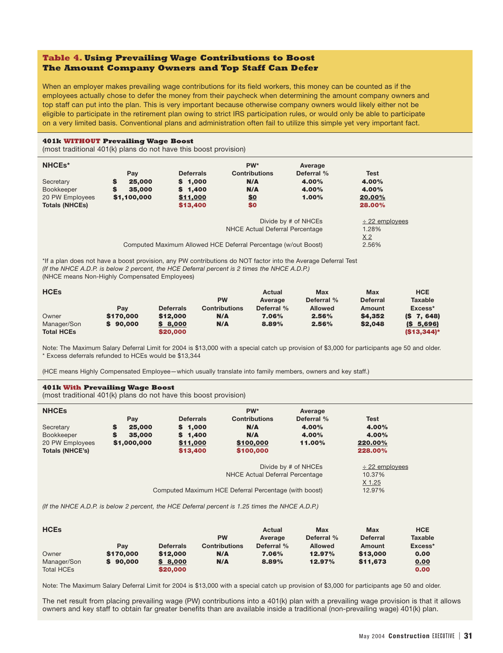#### **Table 4. Using Prevailing Wage Contributions to Boost The Amount Company Owners and Top Staff Can Defer**

When an employer makes prevailing wage contributions for its field workers, this money can be counted as if the employees actually chose to defer the money from their paycheck when determining the amount company owners and top staff can put into the plan. This is very important because otherwise company owners would likely either not be eligible to participate in the retirement plan owing to strict IRS participation rules, or would only be able to participate on a very limited basis. Conventional plans and administration often fail to utilize this simple yet very important fact.

#### **401k WITHOUT Prevailing Wage Boost**

(most traditional 401(k) plans do not have this boost provision)

| NHCE <sub>s</sub> *<br>Secretary<br>Bookkeeper<br>20 PW Employees<br><b>Totals (NHCEs)</b> | S<br>S | Pay<br>25,000<br>35,000<br>\$1,100,000 | <b>Deferrals</b><br>\$1,000<br>\$1,400<br>\$11,000<br>\$13,400 | PW*<br><b>Contributions</b><br>N/A<br>N/A<br>\$0<br>\$0                                           | Average<br>Deferral %<br>4.00%<br>4.00%<br>1.00% | Test<br>4.00%<br>4.00%<br>20.00%<br>28.00%              |  |
|--------------------------------------------------------------------------------------------|--------|----------------------------------------|----------------------------------------------------------------|---------------------------------------------------------------------------------------------------|--------------------------------------------------|---------------------------------------------------------|--|
|                                                                                            |        |                                        |                                                                | NHCE Actual Deferral Percentage<br>Computed Maximum Allowed HCE Deferral Percentage (w/out Boost) | Divide by # of NHCEs                             | $\div$ 22 employees<br>1.28%<br>X <sub>2</sub><br>2.56% |  |

\*If a plan does not have a boost provision, any PW contributions do NOT factor into the Average Deferral Test *(If the NHCE A.D.P. is below 2 percent, the HCE Deferral percent is 2 times the NHCE A.D.P.)* (NHCE means Non-Highly Compensated Employees)

| <b>HCE<sub>s</sub></b> |           |                  |                      | Actual     | <b>Max</b>     | <b>Max</b>      | <b>HCE</b>           |
|------------------------|-----------|------------------|----------------------|------------|----------------|-----------------|----------------------|
|                        |           |                  | <b>PW</b>            | Average    | Deferral %     | <b>Deferral</b> | <b>Taxable</b>       |
|                        | Pav       | <b>Deferrals</b> | <b>Contributions</b> | Deferral % | <b>Allowed</b> | Amount          | Excess*              |
| Owner                  | \$170,000 | \$12,000         | N/A                  | 7.06%      | 2.56%          | \$4.352         | $(S \t 7, 648)$      |
| Manager/Son            | 90,000    | \$8,000          | N/A                  | 8.89%      | 2.56%          | \$2.048         | (S <sub>5,696)</sub> |
| <b>Total HCEs</b>      |           | \$20,000         |                      |            |                |                 | $(S13.344)^*$        |

Note: The Maximum Salary Deferral Limit for 2004 is \$13,000 with a special catch up provision of \$3,000 for participants age 50 and older. \* Excess deferrals refunded to HCEs would be \$13,344

(HCE means Highly Compensated Employee—which usually translate into family members, owners and key staff.)

#### **401k With Prevailing Wage Boost**

(most traditional 401(k) plans do not have this boost provision)

| <b>NHCES</b>                                                  | Pay                                       | <b>Deferrals</b>                           | PW*<br><b>Contributions</b>                                                              | Average<br>Deferral %    | <b>Test</b>                                       |
|---------------------------------------------------------------|-------------------------------------------|--------------------------------------------|------------------------------------------------------------------------------------------|--------------------------|---------------------------------------------------|
| Secretary<br>Bookkeeper<br>20 PW Employees<br>Totals (NHCE's) | S<br>25,000<br>S<br>35,000<br>\$1,000,000 | \$1,000<br>\$1,400<br>\$11,000<br>\$13,400 | N/A<br>N/A<br>\$100,000<br>\$100,000                                                     | 4.00%<br>4.00%<br>11.00% | 4.00%<br>4.00%<br>220.00%<br>228.00%              |
|                                                               |                                           |                                            | NHCE Actual Deferral Percentage<br>Computed Maximum HCE Deferral Percentage (with boost) | Divide by # of NHCEs     | $\div$ 22 employees<br>10.37%<br>X 1.25<br>12.97% |

*(If the NHCE A.D.P. is below 2 percent, the HCE Deferral percent is 1.25 times the NHCE A.D.P.)*

| <b>HCEs</b>       |           |                  |                      | Actual     | Max            | Max             | <b>HCE</b>     |
|-------------------|-----------|------------------|----------------------|------------|----------------|-----------------|----------------|
|                   |           |                  | <b>PW</b>            | Average    | Deferral %     | <b>Deferral</b> | <b>Taxable</b> |
|                   | Pav       | <b>Deferrals</b> | <b>Contributions</b> | Deferral % | <b>Allowed</b> | Amount          | Excess*        |
| Owner             | \$170,000 | \$12,000         | N/A                  | 7.06%      | 12.97%         | \$13,000        | 0.00           |
| Manager/Son       | 90,000    | \$8,000          | N/A                  | 8.89%      | 12.97%         | \$11.673        | 0.00           |
| <b>Total HCEs</b> |           | \$20,000         |                      |            |                |                 | 0.00           |

Note: The Maximum Salary Deferral Limit for 2004 is \$13,000 with a special catch up provision of \$3,000 for participants age 50 and older.

The net result from placing prevailing wage (PW) contributions into a 401(k) plan with a prevailing wage provision is that it allows owners and key staff to obtain far greater benefits than are available inside a traditional (non-prevailing wage) 401(k) plan.